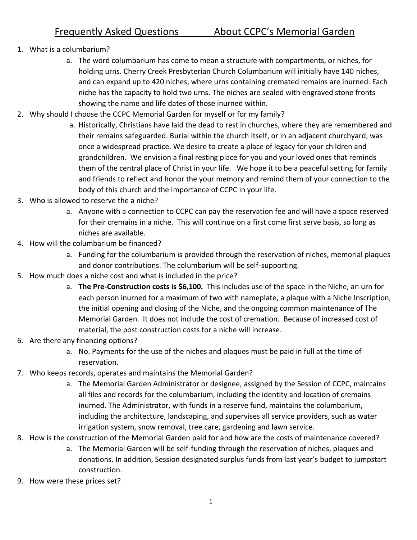## 1. What is a columbarium?

- a. The word columbarium has come to mean a structure with compartments, or niches, for holding urns. Cherry Creek Presbyterian Church Columbarium will initially have 140 niches, and can expand up to 420 niches, where urns containing cremated remains are inurned. Each niche has the capacity to hold two urns. The niches are sealed with engraved stone fronts showing the name and life dates of those inurned within.
- 2. Why should I choose the CCPC Memorial Garden for myself or for my family?
	- a. Historically, Christians have laid the dead to rest in churches, where they are remembered and their remains safeguarded. Burial within the church itself, or in an adjacent churchyard, was once a widespread practice. We desire to create a place of legacy for your children and grandchildren. We envision a final resting place for you and your loved ones that reminds them of the central place of Christ in your life. We hope it to be a peaceful setting for family and friends to reflect and honor the your memory and remind them of your connection to the body of this church and the importance of CCPC in your life.
- 3. Who is allowed to reserve the a niche?
	- a. Anyone with a connection to CCPC can pay the reservation fee and will have a space reserved for their cremains in a niche. This will continue on a first come first serve basis, so long as niches are available.
- 4. How will the columbarium be financed?
	- a. Funding for the columbarium is provided through the reservation of niches, memorial plaques and donor contributions. The columbarium will be self-supporting.
- 5. How much does a niche cost and what is included in the price?
	- a. **The Pre-Construction costs is \$6,100.** This includes use of the space in the Niche, an urn for each person inurned for a maximum of two with nameplate, a plaque with a Niche Inscription, the initial opening and closing of the Niche, and the ongoing common maintenance of The Memorial Garden. It does not include the cost of cremation. Because of increased cost of material, the post construction costs for a niche will increase.
- 6. Are there any financing options?
	- a. No. Payments for the use of the niches and plaques must be paid in full at the time of reservation.
- 7. Who keeps records, operates and maintains the Memorial Garden?
	- a. The Memorial Garden Administrator or designee, assigned by the Session of CCPC, maintains all files and records for the columbarium, including the identity and location of cremains inurned. The Administrator, with funds in a reserve fund, maintains the columbarium, including the architecture, landscaping, and supervises all service providers, such as water irrigation system, snow removal, tree care, gardening and lawn service.
- 8. How is the construction of the Memorial Garden paid for and how are the costs of maintenance covered?
	- a. The Memorial Garden will be self-funding through the reservation of niches, plaques and donations. In addition, Session designated surplus funds from last year's budget to jumpstart construction.
- 9. How were these prices set?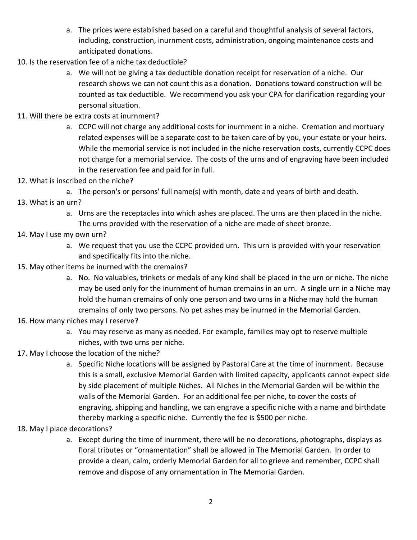- a. The prices were established based on a careful and thoughtful analysis of several factors, including, construction, inurnment costs, administration, ongoing maintenance costs and anticipated donations.
- 10. Is the reservation fee of a niche tax deductible?
	- a. We will not be giving a tax deductible donation receipt for reservation of a niche. Our research shows we can not count this as a donation. Donations toward construction will be counted as tax deductible. We recommend you ask your CPA for clarification regarding your personal situation.
- 11. Will there be extra costs at inurnment?
	- a. CCPC will not charge any additional costs for inurnment in a niche. Cremation and mortuary related expenses will be a separate cost to be taken care of by you, your estate or your heirs. While the memorial service is not included in the niche reservation costs, currently CCPC does not charge for a memorial service. The costs of the urns and of engraving have been included in the reservation fee and paid for in full.
- 12. What is inscribed on the niche?
	- a. The person's or persons' full name(s) with month, date and years of birth and death.
- 13. What is an urn?
	- a. Urns are the receptacles into which ashes are placed. The urns are then placed in the niche. The urns provided with the reservation of a niche are made of sheet bronze.
- 14. May I use my own urn?
	- a. We request that you use the CCPC provided urn. This urn is provided with your reservation and specifically fits into the niche.
- 15. May other items be inurned with the cremains?
	- a. No. No valuables, trinkets or medals of any kind shall be placed in the urn or niche. The niche may be used only for the inurnment of human cremains in an urn. A single urn in a Niche may hold the human cremains of only one person and two urns in a Niche may hold the human cremains of only two persons. No pet ashes may be inurned in the Memorial Garden.
- 16. How many niches may I reserve?
	- a. You may reserve as many as needed. For example, families may opt to reserve multiple niches, with two urns per niche.
- 17. May I choose the location of the niche?
	- a. Specific Niche locations will be assigned by Pastoral Care at the time of inurnment. Because this is a small, exclusive Memorial Garden with limited capacity, applicants cannot expect side by side placement of multiple Niches. All Niches in the Memorial Garden will be within the walls of the Memorial Garden. For an additional fee per niche, to cover the costs of engraving, shipping and handling, we can engrave a specific niche with a name and birthdate thereby marking a specific niche. Currently the fee is \$500 per niche.
- 18. May I place decorations?
	- a. Except during the time of inurnment, there will be no decorations, photographs, displays as floral tributes or "ornamentation" shall be allowed in The Memorial Garden. In order to provide a clean, calm, orderly Memorial Garden for all to grieve and remember, CCPC shall remove and dispose of any ornamentation in The Memorial Garden.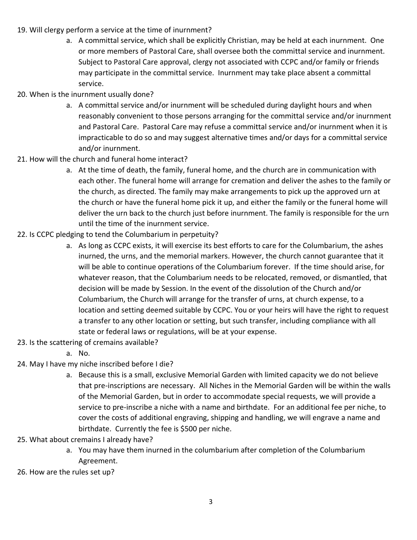- 19. Will clergy perform a service at the time of inurnment?
	- a. A committal service, which shall be explicitly Christian, may be held at each inurnment. One or more members of Pastoral Care, shall oversee both the committal service and inurnment. Subject to Pastoral Care approval, clergy not associated with CCPC and/or family or friends may participate in the committal service. Inurnment may take place absent a committal service.
- 20. When is the inurnment usually done?
	- a. A committal service and/or inurnment will be scheduled during daylight hours and when reasonably convenient to those persons arranging for the committal service and/or inurnment and Pastoral Care. Pastoral Care may refuse a committal service and/or inurnment when it is impracticable to do so and may suggest alternative times and/or days for a committal service and/or inurnment.
- 21. How will the church and funeral home interact?
	- a. At the time of death, the family, funeral home, and the church are in communication with each other. The funeral home will arrange for cremation and deliver the ashes to the family or the church, as directed. The family may make arrangements to pick up the approved urn at the church or have the funeral home pick it up, and either the family or the funeral home will deliver the urn back to the church just before inurnment. The family is responsible for the urn until the time of the inurnment service.
- 22. Is CCPC pledging to tend the Columbarium in perpetuity?
	- a. As long as CCPC exists, it will exercise its best efforts to care for the Columbarium, the ashes inurned, the urns, and the memorial markers. However, the church cannot guarantee that it will be able to continue operations of the Columbarium forever. If the time should arise, for whatever reason, that the Columbarium needs to be relocated, removed, or dismantled, that decision will be made by Session. In the event of the dissolution of the Church and/or Columbarium, the Church will arrange for the transfer of urns, at church expense, to a location and setting deemed suitable by CCPC. You or your heirs will have the right to request a transfer to any other location or setting, but such transfer, including compliance with all state or federal laws or regulations, will be at your expense.
- 23. Is the scattering of cremains available?

a. No.

- 24. May I have my niche inscribed before I die?
	- a. Because this is a small, exclusive Memorial Garden with limited capacity we do not believe that pre-inscriptions are necessary. All Niches in the Memorial Garden will be within the walls of the Memorial Garden, but in order to accommodate special requests, we will provide a service to pre-inscribe a niche with a name and birthdate. For an additional fee per niche, to cover the costs of additional engraving, shipping and handling, we will engrave a name and birthdate. Currently the fee is \$500 per niche.
- 25. What about cremains I already have?
	- a. You may have them inurned in the columbarium after completion of the Columbarium Agreement.
- 26. How are the rules set up?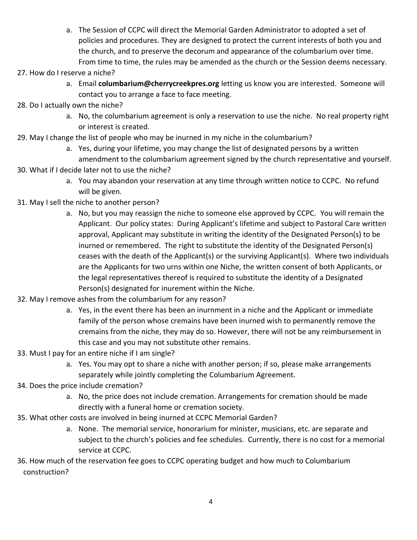- a. The Session of CCPC will direct the Memorial Garden Administrator to adopted a set of policies and procedures. They are designed to protect the current interests of both you and the church, and to preserve the decorum and appearance of the columbarium over time. From time to time, the rules may be amended as the church or the Session deems necessary.
- 27. How do I reserve a niche?
	- a. Email **columbarium@cherrycreekpres.org** letting us know you are interested. Someone will contact you to arrange a face to face meeting.
- 28. Do I actually own the niche?
	- a. No, the columbarium agreement is only a reservation to use the niche. No real property right or interest is created.
- 29. May I change the list of people who may be inurned in my niche in the columbarium?
	- a. Yes, during your lifetime, you may change the list of designated persons by a written amendment to the columbarium agreement signed by the church representative and yourself.
- 30. What if I decide later not to use the niche?
	- a. You may abandon your reservation at any time through written notice to CCPC. No refund will be given.
- 31. May I sell the niche to another person?
	- a. No, but you may reassign the niche to someone else approved by CCPC. You will remain the Applicant. Our policy states: During Applicant's lifetime and subject to Pastoral Care written approval, Applicant may substitute in writing the identity of the Designated Person(s) to be inurned or remembered. The right to substitute the identity of the Designated Person(s) ceases with the death of the Applicant(s) or the surviving Applicant(s). Where two individuals are the Applicants for two urns within one Niche, the written consent of both Applicants, or the legal representatives thereof is required to substitute the identity of a Designated Person(s) designated for inurement within the Niche.
- 32. May I remove ashes from the columbarium for any reason?
	- a. Yes, in the event there has been an inurnment in a niche and the Applicant or immediate family of the person whose cremains have been inurned wish to permanently remove the cremains from the niche, they may do so. However, there will not be any reimbursement in this case and you may not substitute other remains.
- 33. Must I pay for an entire niche if I am single?
	- a. Yes. You may opt to share a niche with another person; if so, please make arrangements separately while jointly completing the Columbarium Agreement.
- 34. Does the price include cremation?
	- a. No, the price does not include cremation. Arrangements for cremation should be made directly with a funeral home or cremation society.
- 35. What other costs are involved in being inurned at CCPC Memorial Garden?
	- a. None. The memorial service, honorarium for minister, musicians, etc. are separate and subject to the church's policies and fee schedules. Currently, there is no cost for a memorial service at CCPC.
- 36. How much of the reservation fee goes to CCPC operating budget and how much to Columbarium construction?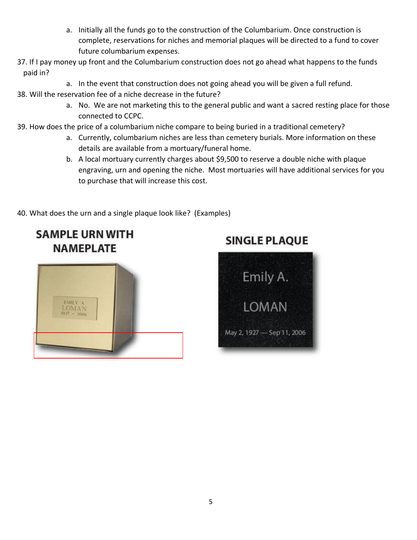- a. Initially all the funds go to the construction of the Columbarium. Once construction is complete, reservations for niches and memorial plaques will be directed to a fund to cover future columbarium expenses.
- 37. If I pay money up front and the Columbarium construction does not go ahead what happens to the funds paid in?
	- a. In the event that construction does not going ahead you will be given a full refund.
- 38. Will the reservation fee of a niche decrease in the future?
	- a. No. We are not marketing this to the general public and want a sacred resting place for those connected to CCPC.
- 39. How does the price of a columbarium niche compare to being buried in a traditional cemetery?
	- a. Currently, columbarium niches are less than cemetery burials. More information on these details are available from a mortuary/funeral home.
	- b. A local mortuary currently charges about \$9,500 to reserve a double niche with plaque engraving, urn and opening the niche. Most mortuaries will have additional services for you to purchase that will increase this cost.

40. What does the urn and a single plaque look like? (Examples)



**SAMPLE URN WITH** 

## **SINGLE PLAOUE**